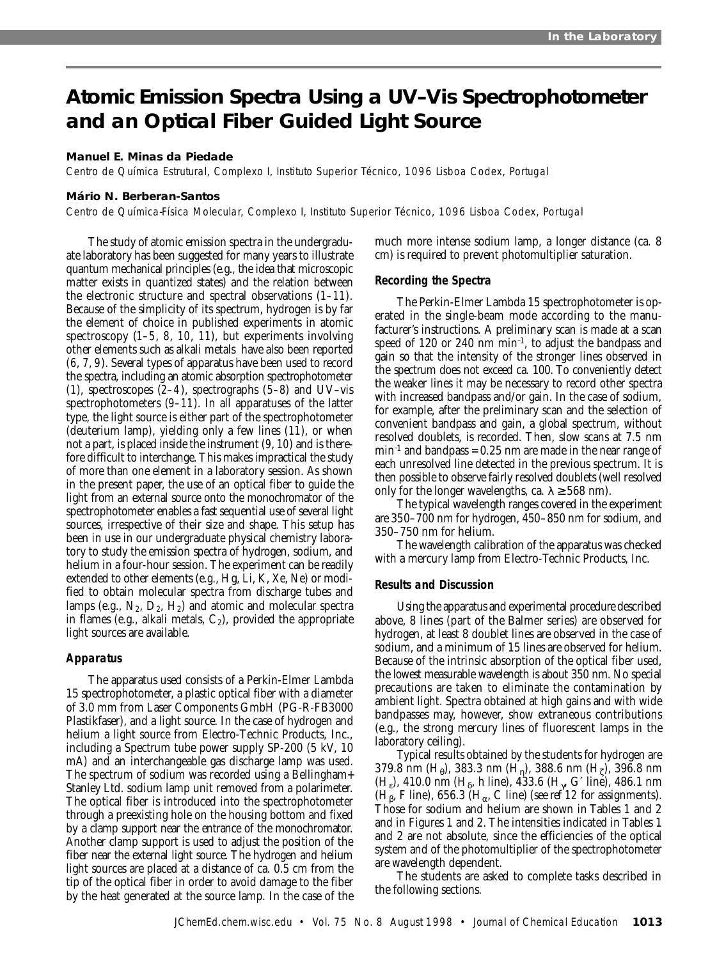# **Atomic Emission Spectra Using a UV–Vis Spectrophotometer and an Optical Fiber Guided Light Source**

# **Manuel E. Minas da Piedade**

Centro de Química Estrutural, Complexo I, Instituto Superior Técnico, 1096 Lisboa Codex, Portugal

# **Mário N. Berberan-Santos**

Centro de Química-Física Molecular, Complexo I, Instituto Superior Técnico, 1096 Lisboa Codex, Portugal

The study of atomic emission spectra in the undergraduate laboratory has been suggested for many years to illustrate quantum mechanical principles (e.g., the idea that microscopic matter exists in quantized states) and the relation between the electronic structure and spectral observations (*1–11*). Because of the simplicity of its spectrum, hydrogen is by far the element of choice in published experiments in atomic spectroscopy (*1–5*, *8*, *10*, *11*), but experiments involving other elements such as alkali metals have also been reported (*6*, *7*, *9*). Several types of apparatus have been used to record the spectra, including an atomic absorption spectrophotometer (*1*), spectroscopes (*2–4*), spectrographs (*5–8*) and UV–vis spectrophotometers (*9–11*). In all apparatuses of the latter type, the light source is either part of the spectrophotometer (deuterium lamp), yielding only a few lines (*11*), or when not a part, is placed inside the instrument (*9*, *10*) and is therefore difficult to interchange. This makes impractical the study of more than one element in a laboratory session. As shown in the present paper, the use of an optical fiber to guide the light from an external source onto the monochromator of the spectrophotometer enables a fast sequential use of several light sources, irrespective of their size and shape. This setup has been in use in our undergraduate physical chemistry laboratory to study the emission spectra of hydrogen, sodium, and helium in a four-hour session. The experiment can be readily extended to other elements (e.g., Hg, Li, K, Xe, Ne) or modified to obtain molecular spectra from discharge tubes and lamps (e.g.,  $N_2$ ,  $D_2$ ,  $H_2$ ) and atomic and molecular spectra in flames (e.g., alkali metals,  $C_2$ ), provided the appropriate light sources are available.

# **Apparatus**

The apparatus used consists of a Perkin-Elmer Lambda 15 spectrophotometer, a plastic optical fiber with a diameter of 3.0 mm from Laser Components GmbH (PG-R-FB3000 Plastikfaser), and a light source. In the case of hydrogen and helium a light source from Electro-Technic Products, Inc., including a Spectrum tube power supply SP-200 (5 kV, 10 mA) and an interchangeable gas discharge lamp was used. The spectrum of sodium was recorded using a Bellingham+ Stanley Ltd. sodium lamp unit removed from a polarimeter. The optical fiber is introduced into the spectrophotometer through a preexisting hole on the housing bottom and fixed by a clamp support near the entrance of the monochromator. Another clamp support is used to adjust the position of the fiber near the external light source. The hydrogen and helium light sources are placed at a distance of ca. 0.5 cm from the tip of the optical fiber in order to avoid damage to the fiber by the heat generated at the source lamp. In the case of the

much more intense sodium lamp, a longer distance (ca. 8 cm) is required to prevent photomultiplier saturation.

### **Recording the Spectra**

The Perkin-Elmer Lambda 15 spectrophotometer is operated in the single-beam mode according to the manufacturer's instructions. A preliminary scan is made at a scan speed of 120 or 240 nm  $min^{-1}$ , to adjust the bandpass and gain so that the intensity of the stronger lines observed in the spectrum does not exceed ca. 100. To conveniently detect the weaker lines it may be necessary to record other spectra with increased bandpass and/or gain. In the case of sodium, for example, after the preliminary scan and the selection of convenient bandpass and gain, a global spectrum, without resolved doublets, is recorded. Then, slow scans at 7.5 nm  $min^{-1}$  and bandpass = 0.25 nm are made in the near range of each unresolved line detected in the previous spectrum. It is then possible to observe fairly resolved doublets (well resolved only for the longer wavelengths, ca.  $\lambda \geq 568$  nm).

The typical wavelength ranges covered in the experiment are 350–700 nm for hydrogen, 450–850 nm for sodium, and 350–750 nm for helium.

The wavelength calibration of the apparatus was checked with a mercury lamp from Electro-Technic Products, Inc.

# **Results and Discussion**

Using the apparatus and experimental procedure described above, 8 lines (part of the Balmer series) are observed for hydrogen, at least 8 doublet lines are observed in the case of sodium, and a minimum of 15 lines are observed for helium. Because of the intrinsic absorption of the optical fiber used, the lowest measurable wavelength is about 350 nm. No special precautions are taken to eliminate the contamination by ambient light. Spectra obtained at high gains and with wide bandpasses may, however, show extraneous contributions (e.g., the strong mercury lines of fluorescent lamps in the laboratory ceiling).

Typical results obtained by the students for hydrogen are 379.8 nm  $(H_0)$ , 383.3 nm  $(H_n)$ , 388.6 nm  $(H_7)$ , 396.8 nm  $(H<sub>e</sub>)$ , 410.0 nm  $(H<sub>δ</sub>$ , h line), 433.6  $(H<sub>γ</sub> G'$  line), 486.1 nm  $(H<sub>β</sub>, F line)$ , 656.3  $(H<sub>α</sub>, C line)$  (see ref 12 for assignments). Those for sodium and helium are shown in Tables 1 and 2 and in Figures 1 and 2. The intensities indicated in Tables 1 and 2 are not absolute, since the efficiencies of the optical system and of the photomultiplier of the spectrophotometer are wavelength dependent.

The students are asked to complete tasks described in the following sections.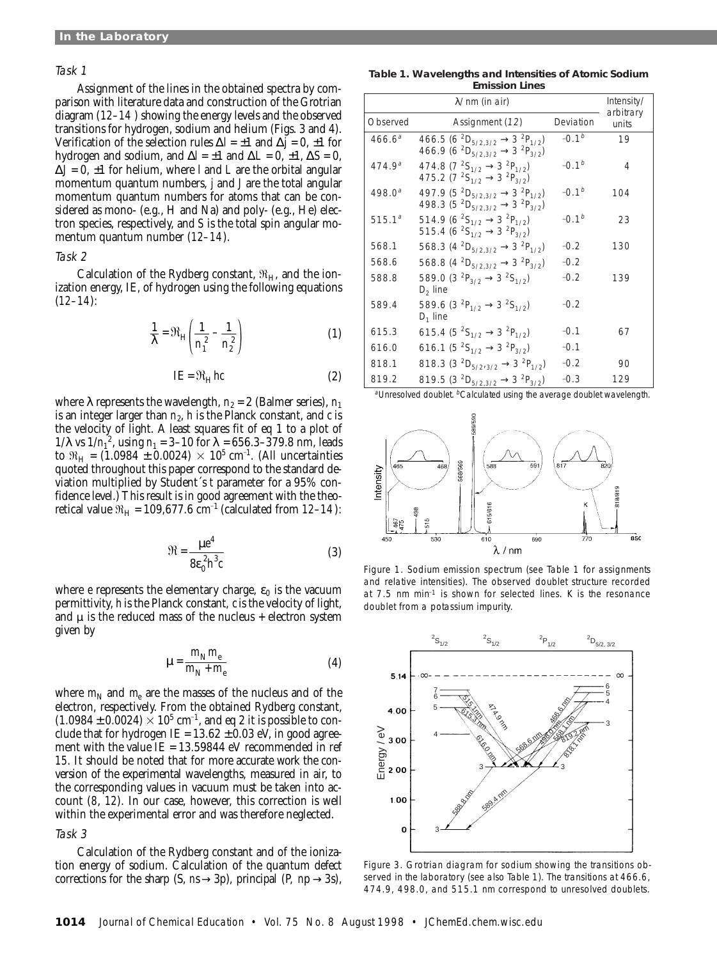# Task 1

Assignment of the lines in the obtained spectra by comparison with literature data and construction of the Grotrian diagram (*12–14* ) showing the energy levels and the observed transitions for hydrogen, sodium and helium (Figs. 3 and 4). Verification of the selection rules ∆*l* = ±1 and ∆*j* = 0, ±1 for hydrogen and sodium, and  $\Delta l = \pm 1$  and  $\Delta L = 0, \pm 1, \Delta S = 0$ , ∆*J* = 0, ±1 for helium, where *l* and *L* are the orbital angular momentum quantum numbers, *j* and *J* are the total angular momentum quantum numbers for atoms that can be considered as mono- (e.g., H and Na) and poly- (e.g., He) electron species, respectively, and *S* is the total spin angular momentum quantum number (*12–14*).

# Task 2

Calculation of the Rydberg constant,  $\mathfrak{R}_{H}$ , and the ionization energy, IE, of hydrogen using the following equations (*12–14*):

$$
\frac{1}{\lambda} = \Re_{H} \left( \frac{1}{n_1^2} - \frac{1}{n_2^2} \right)
$$
 (1)

$$
IE = \Re_H hc \tag{2}
$$

where  $\lambda$  represents the wavelength,  $n_2 = 2$  (Balmer series),  $n_1$ is an integer larger than  $n_2$ ,  $h$  is the Planck constant, and  $c$  is the velocity of light. A least squares fit of eq 1 to a plot of 1/λ vs  $1/n_1^2$ , using  $n_1 = 3-10$  for  $\lambda = 656.3-379.8$  nm, leads to  $\Re_{\rm H}$  = (1.0984 ± 0.0024)  $\times$  10<sup>5</sup> cm<sup>-1</sup>. (All uncertainties quoted throughout this paper correspond to the standard deviation multiplied by Student´s *t* parameter for a 95% confidence level.) This result is in good agreement with the theoretical value  $\mathfrak{R}_{\mathrm{H}}$  = 109,677.6 cm<sup>-1</sup> (calculated from *12–14*):

$$
\mathfrak{R} = \frac{\mu e^4}{8\varepsilon_0^2 h^3 c} \tag{3}
$$

where *e* represents the elementary charge,  $\varepsilon_0$  is the vacuum permittivity, *h* is the Planck constant, *c* is the velocity of light, and  $\mu$  is the reduced mass of the nucleus + electron system given by

$$
\mu = \frac{m_{\rm N} m_{\rm e}}{m_{\rm N} + m_{\rm e}}\tag{4}
$$

where  $m_N$  and  $m_e$  are the masses of the nucleus and of the electron, respectively. From the obtained Rydberg constant,  $(1.0984 \pm 0.0024) \times 10^5$  cm<sup>-1</sup>, and eq 2 it is possible to conclude that for hydrogen IE =  $13.62 \pm 0.03$  eV, in good agreement with the value  $IE = 13.59844$  eV recommended in ref *15*. It should be noted that for more accurate work the conversion of the experimental wavelengths, measured in air, to the corresponding values in vacuum must be taken into account (*8*, *12*). In our case, however, this correction is well within the experimental error and was therefore neglected.

## Task 3

Calculation of the Rydberg constant and of the ionization energy of sodium. Calculation of the quantum defect corrections for the sharp (S,  $n \rightarrow 3p$ ), principal (P,  $n \rightarrow 3s$ ),

#### **Table 1. Wavelengths and Intensities of Atomic Sodium Emission Lines**

|                    | $\lambda$ /nm (in air)                                                                                                                                                                   |           | Intensity/<br>arbitrary |
|--------------------|------------------------------------------------------------------------------------------------------------------------------------------------------------------------------------------|-----------|-------------------------|
| Observed           | Assignment (12)                                                                                                                                                                          | Deviation | units                   |
| $466.6^a$          | 466.5 (6 <sup>2</sup> D <sub>5/2,3/2</sub> $\rightarrow$ 3 <sup>2</sup> P <sub>1/2</sub> )<br>466.9 (6 <sup>2</sup> D <sub>5/2,3/2</sub> $\rightarrow$ 3 <sup>2</sup> P <sub>3/2</sub> ) | $-0.1b$   | 19                      |
| 474.9 <sup>a</sup> | 474.8 (7 ${}^{2}S_{1/2} \rightarrow 3 {}^{2}P_{1/2}$ )<br>475.2 (7 ${}^{2}S_{1/2} \rightarrow 3 {}^{2}P_{3/2}$ )                                                                         | $-0.1b$   | 4                       |
| $498.0^{a}$        | 497.9 (5 <sup>2</sup> D <sub>5/2.3/2</sub> $\rightarrow$ 3 <sup>2</sup> P <sub>1/2</sub> )<br>498.3 (5 ${}^{2}D_{5/2,3/2}$ $\rightarrow$ 3 ${}^{2}P_{3/2}$ )                             | $-0.1b$   | 104                     |
| $515.1^a$          | 514.9 (6 <sup>2</sup> S <sub>1/2</sub> $\rightarrow$ 3 <sup>2</sup> P <sub>1/2</sub> )<br>515.4 (6 <sup>2</sup> S <sub>1/2</sub> $\rightarrow$ 3 <sup>2</sup> P <sub>3/2</sub> )         | $-0.1b$   | 23                      |
| 568.1              | 568.3 (4 ${}^{2}D_{5/2,3/2}$ $\rightarrow$ 3 ${}^{2}P_{1/2}$ )                                                                                                                           | $-0.2$    | 130                     |
| 568.6              | 568.8 (4 <sup>2</sup> D <sub>5/2.3/2</sub> $\rightarrow$ 3 <sup>2</sup> P <sub>3/2</sub> )                                                                                               | $-0.2$    |                         |
| 588.8              | 589.0 (3 ${}^{2}P_{3/2}$ $\rightarrow$ 3 ${}^{2}S_{1/2}$ )<br>$D2$ line                                                                                                                  | $-0.2$    | 139                     |
| 589.4              | 589.6 (3 ${}^{2}P_{1/2} \rightarrow 3 {}^{2}S_{1/2}$ )<br>$D_1$ line                                                                                                                     | $-0.2$    |                         |
| 615.3              | 615.4 (5 <sup>2</sup> S <sub>1/2</sub> $\rightarrow$ 3 <sup>2</sup> P <sub>1/2</sub> )                                                                                                   | $-0.1$    | 67                      |
| 616.0              | 616.1 (5 <sup>2</sup> S <sub>1/2</sub> $\rightarrow$ 3 <sup>2</sup> P <sub>3/2</sub> )                                                                                                   | $-0.1$    |                         |
| 818.1              | 818.3 (3 <sup>2</sup> D <sub>5/2/3/2</sub> $\rightarrow$ 3 <sup>2</sup> P <sub>1/2</sub> )                                                                                               | $-0.2$    | 90                      |
| 819.2              | 819.5 (3 <sup>2</sup> D <sub>5/2.3/2</sub> $\rightarrow$ 3 <sup>2</sup> P <sub>3/2</sub> )                                                                                               | $-0.3$    | 129                     |

<sup>a</sup>Unresolved doublet. <sup>b</sup>Calculated using the average doublet wavelength.



Figure 1. Sodium emission spectrum (see Table 1 for assignments and relative intensities). The observed doublet structure recorded at 7.5 nm min $1$  is shown for selected lines. K is the resonance doublet from a potassium impurity.



Figure 3. Grotrian diagram for sodium showing the transitions observed in the laboratory (see also Table 1). The transitions at 466.6, 474.9, 498.0, and 515.1 nm correspond to unresolved doublets.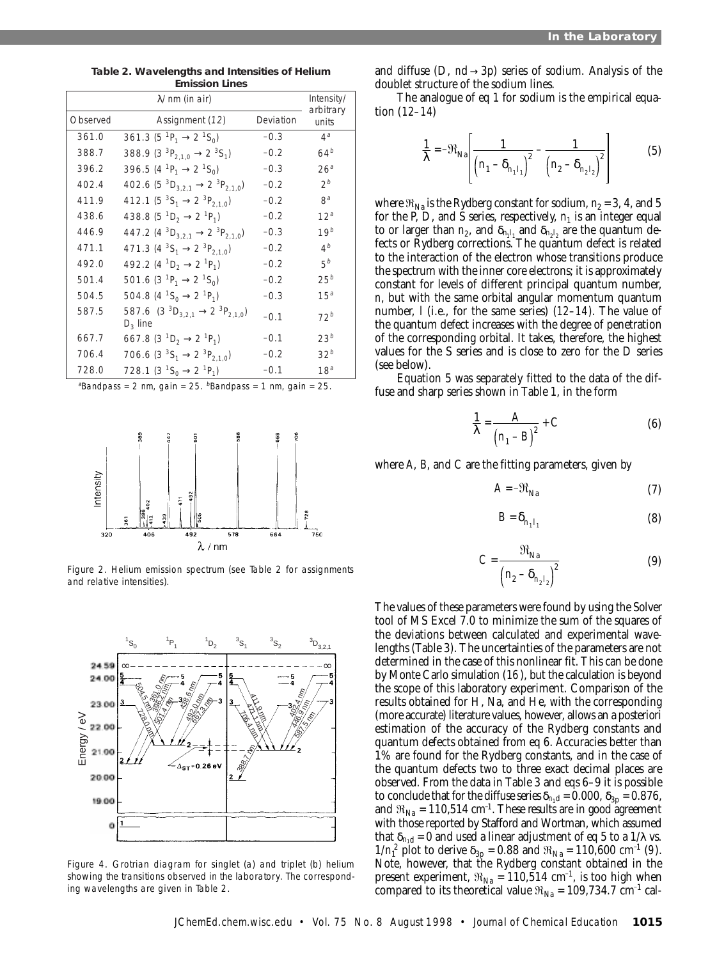|          | $\lambda$ /nm (in air)                                                               |           | Intensity/         |
|----------|--------------------------------------------------------------------------------------|-----------|--------------------|
| Observed | Assignment (12)                                                                      | Deviation | arbitrary<br>units |
| 361.0    | 361.3 (5 <sup>1</sup> P <sub>1</sub> $\rightarrow$ 2 <sup>1</sup> S <sub>0</sub> )   | $-0.3$    | $4^a$              |
| 388.7    | 388.9 (3 ${}^{3}P_{2,1,0}$ $\rightarrow$ 2 ${}^{3}S_{1}$ )                           | $-0.2$    | 64 <sup>b</sup>    |
| 396.2    | 396.5 (4 <sup>-1</sup> P <sub>1</sub> $\rightarrow$ 2 <sup>-1</sup> S <sub>0</sub> ) | $-0.3$    | 26 <sup>a</sup>    |
| 402.4    | 402.6 (5 ${}^{3}D_{3,2,1}$ $\rightarrow$ 2 ${}^{3}P_{2,1,0}$ )                       | $-0.2$    | $2^b$              |
| 411.9    | 412.1 (5 ${}^{3}S_{1} \rightarrow 2 {}^{3}P_{2,1,0}$ )                               | $-0.2$    | 8 <sup>a</sup>     |
| 438.6    | 438.8 (5 <sup>1</sup> D <sub>2</sub> $\rightarrow$ 2 <sup>1</sup> P <sub>1</sub> )   | $-0.2$    | 12 <sup>a</sup>    |
| 446.9    | 447.2 (4 ${}^{3}D_{3,2,1}$ $\rightarrow$ 2 ${}^{3}P_{2,1,0}$ )                       | $-0.3$    | 19 <sup>b</sup>    |
| 471.1    | 471.3 (4 ${}^{3}S_{1} \rightarrow 2 {}^{3}P_{2,1,0}$ )                               | $-0.2$    | 4 <sup>b</sup>     |
| 492.0    | 492.2 (4 ${}^{1}D_{2} \rightarrow 2 {}^{1}P_{1}$ )                                   | $-0.2$    | 5 <sup>b</sup>     |
| 501.4    | 501.6 (3 <sup>-1</sup> P <sub>1</sub> $\rightarrow$ 2 <sup>-1</sup> S <sub>0</sub> ) | $-0.2$    | $25^b$             |
| 504.5    | 504.8 (4 ${}^{1}S_{0} \rightarrow 2 {}^{1}P_{1}$ )                                   | $-0.3$    | 15 <sup>a</sup>    |
| 587.5    | 587.6 $(3^{3}D_{3,2,1} \rightarrow 2^{3}P_{2,1,0})$<br>$D_3$ line                    | $-0.1$    | 72 <sup>b</sup>    |
| 667.7    | 667.8 (3 ${}^{1}D_{2} \rightarrow 2 {}^{1}P_{1}$ )                                   | $-0.1$    | 23 <sup>b</sup>    |
| 706.4    | 706.6 (3 ${}^{3}S_{1} \rightarrow 2 {}^{3}P_{2,1,0}$ )                               | $-0.2$    | 32 <sup>b</sup>    |
| 728.0    | 728.1 (3 <sup>1</sup> S <sub>0</sub> $\rightarrow$ 2 <sup>1</sup> P <sub>1</sub> )   | $-0.1$    | 18 <sup>a</sup>    |

**Table 2. Wavelengths and Intensities of Helium Emission Lines**

<sup>a</sup>Bandpass = 2 nm, gain = 25.  $b$ Bandpass = 1 nm, gain = 25.



Figure 2. Helium emission spectrum (see Table 2 for assignments and relative intensities).



Figure 4. Grotrian diagram for singlet (a) and triplet (b) helium showing the transitions observed in the laboratory. The corresponding wavelengths are given in Table 2.

and diffuse (D,  $md \rightarrow 3p$ ) series of sodium. Analysis of the doublet structure of the sodium lines.

The analogue of eq 1 for sodium is the empirical equation (*12–14*)

$$
\frac{1}{\lambda} = -\Re_{\text{Na}} \left[ \frac{1}{\left( n_1 - \delta_{n_1 l_1} \right)^2} - \frac{1}{\left( n_2 - \delta_{n_2 l_2} \right)^2} \right]
$$
(5)

where  $\Re_{\text{Na}}$  is the Rydberg constant for sodium,  $n_2 = 3$ , 4, and 5 for the P, D, and S series, respectively,  $n_1$  is an integer equal to or larger than  $n_2$ , and  $\delta_{n_1 l_1}$  and  $\delta_{n_2 l_2}$  are the quantum defects or Rydberg corrections. The quantum defect is related to the interaction of the electron whose transitions produce the spectrum with the inner core electrons; it is approximately constant for levels of different principal quantum number, *n*, but with the same orbital angular momentum quantum number, *l* (i.e., for the same series) (*12–14*). The value of the quantum defect increases with the degree of penetration of the corresponding orbital. It takes, therefore, the highest values for the S series and is close to zero for the D series (see below).

Equation 5 was separately fitted to the data of the diffuse and sharp series shown in Table 1, in the form

$$
\frac{1}{\lambda} = \frac{A}{\left(n_1 - B\right)^2} + C \tag{6}
$$

where *A*, *B*, and *C* are the fitting parameters, given by

$$
A = -\mathfrak{R}_{\text{Na}} \tag{7}
$$

$$
B = \delta_{n_1 l_1} \tag{8}
$$

$$
C = \frac{\mathfrak{R}_{\text{Na}}}{\left(n_2 - \delta_{n_2 l_2}\right)^2} \tag{9}
$$

The values of these parameters were found by using the Solver tool of MS Excel 7.0 to minimize the sum of the squares of the deviations between calculated and experimental wavelengths (Table 3). The uncertainties of the parameters are not determined in the case of this nonlinear fit. This can be done by Monte Carlo simulation (*16*), but the calculation is beyond the scope of this laboratory experiment. Comparison of the results obtained for H, Na, and He, with the corresponding (more accurate) literature values, however, allows an a posteriori estimation of the accuracy of the Rydberg constants and quantum defects obtained from eq 6. Accuracies better than 1% are found for the Rydberg constants, and in the case of the quantum defects two to three exact decimal places are observed. From the data in Table 3 and eqs 6–9 it is possible to conclude that for the diffuse series  $\delta_{n_1d} = 0.000$ ,  $\delta_{3p} = 0.876$ , and  $\mathfrak{R}_{\text{Na}} = 110,514 \text{ cm}^{-1}$ . These results are in good agreement with those reported by Stafford and Wortman, which assumed that  $\delta_{n_1d}$  = 0 and used a linear adjustment of eq 5 to a 1/ $\lambda$  vs.  $1/n_1^2$  plot to derive  $\delta_{3p} = 0.88$  and  $\Re_{\text{Na}} = 110,600 \text{ cm}^{-1}$  (*9*). Note, however, that the Rydberg constant obtained in the present experiment,  $\Re_{\text{Na}} = 110,514 \text{ cm}^{-1}$ , is too high when compared to its theoretical value  $\Re_{\text{Na}} = 109,734.7 \text{ cm}^{-1}$  cal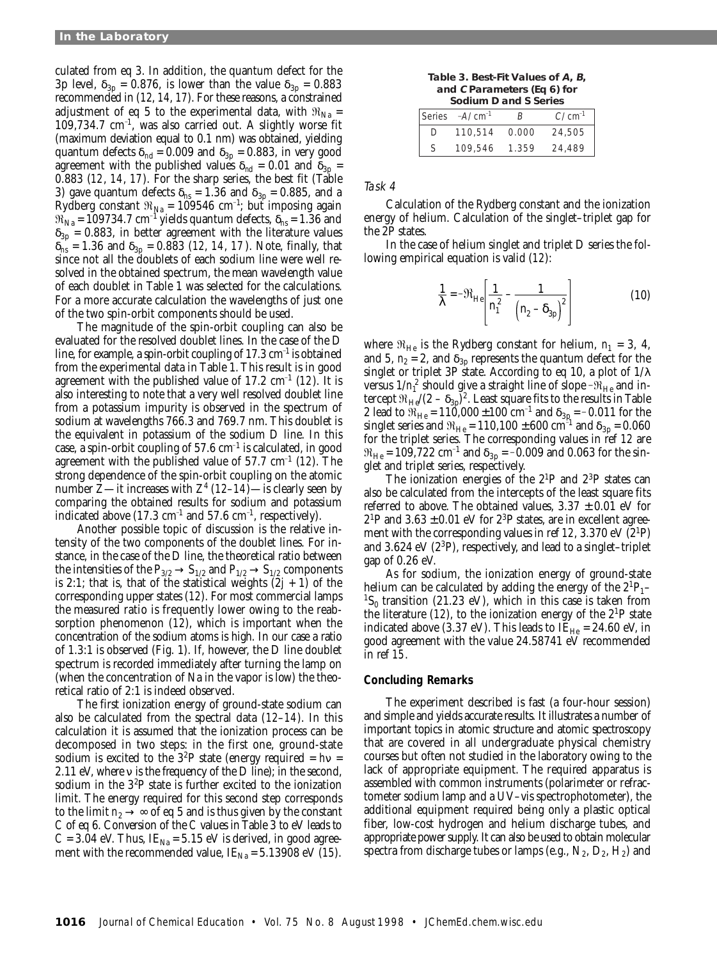culated from eq 3. In addition, the quantum defect for the 3p level,  $\delta_{3p} = 0.876$ , is lower than the value  $\delta_{3p} = 0.883$ recommended in (*12*, *14*, *17*). For these reasons, a constrained adjustment of eq 5 to the experimental data, with  $\Re_{\text{Na}} =$  $109,734.7 \text{ cm}^{-1}$ , was also carried out. A slightly worse fit (maximum deviation equal to 0.1 nm) was obtained, yielding quantum defects  $\delta_{nd}$  = 0.009 and  $\delta_{3p}$  = 0.883, in very good agreement with the published values  $\delta_{nd} = 0.01$  and  $\delta_{3p} =$ 0.883 (*12*, *14*, *17*). For the sharp series, the best fit (Table 3) gave quantum defects  $\delta_{\text{ns}} = 1.36$  and  $\delta_{3p} = 0.885$ , and a Rydberg constant  $\Re_{\textrm{Na}}$  = 109546 cm<sup>-1</sup>; but imposing again  $\mathfrak{R}_{\mathrm{Na}}$  = 109734.7 cm<sup>-1</sup> yields quantum defects,  $\delta_{\mathrm{as}}$  = 1.36 and  $\delta_{3p}$  = 0.883, in better agreement with the literature values  $\delta_{n}$  = 1.36 and  $\delta_{3p}$  = 0.883 (12, 14, 17). Note, finally, that since not all the doublets of each sodium line were well resolved in the obtained spectrum, the mean wavelength value of each doublet in Table 1 was selected for the calculations. For a more accurate calculation the wavelengths of just one of the two spin-orbit components should be used.

The magnitude of the spin-orbit coupling can also be evaluated for the resolved doublet lines. In the case of the D line, for example, a spin-orbit coupling of  $17.3 \text{ cm}^{-1}$  is obtained from the experimental data in Table 1. This result is in good agreement with the published value of  $17.2 \text{ cm}^{-1}$  ( $12$ ). It is also interesting to note that a very well resolved doublet line from a potassium impurity is observed in the spectrum of sodium at wavelengths 766.3 and 769.7 nm. This doublet is the equivalent in potassium of the sodium D line. In this case, a spin-orbit coupling of  $57.6 \text{ cm}^{-1}$  is calculated, in good agreement with the published value of  $57.7 \text{ cm}^{-1}$  ( $12$ ). The strong dependence of the spin-orbit coupling on the atomic number *Z*—it increases with *Z*<sup>4</sup> (*12*–*14*)—is clearly seen by comparing the obtained results for sodium and potassium indicated above  $(17.3 \text{ cm}^{-1} \text{ and } 57.6 \text{ cm}^{-1} \text{, respectively}).$ 

Another possible topic of discussion is the relative intensity of the two components of the doublet lines. For instance, in the case of the D line, the theoretical ratio between the intensities of the  $P_{3/2} \rightarrow S_{1/2}$  and  $P_{1/2} \rightarrow S_{1/2}$  components is 2:1; that is, that of the statistical weights  $(2j + 1)$  of the corresponding upper states (*12*). For most commercial lamps the measured ratio is frequently lower owing to the reabsorption phenomenon (*12*), which is important when the concentration of the sodium atoms is high. In our case a ratio of 1.3:1 is observed (Fig. 1). If, however, the D line doublet spectrum is recorded immediately after turning the lamp on (when the concentration of Na in the vapor is low) the theoretical ratio of 2:1 is indeed observed.

The first ionization energy of ground-state sodium can also be calculated from the spectral data (*12*–*14*). In this calculation it is assumed that the ionization process can be decomposed in two steps: in the first one, ground-state sodium is excited to the  $3^{2}P$  state (energy required =  $h\nu$  = 2.11 eV, where  $\nu$  is the frequency of the D line); in the second, sodium in the  $3<sup>2</sup>P$  state is further excited to the ionization limit. The energy required for this second step corresponds to the limit  $n_2 \rightarrow \infty$  of eq 5 and is thus given by the constant *C* of eq 6. Conversion of the *C* values in Table 3 to eV leads to  $C = 3.04$  eV. Thus, IE<sub>Na</sub> = 5.15 eV is derived, in good agreement with the recommended value,  $IE<sub>Na</sub> = 5.13908$  eV (15).

| Table 3. Best-Fit Values of A, B, |
|-----------------------------------|
| and C Parameters (Eq 6) for       |
| Sodium D and S Series             |

|    | <u>JUURITTI DI ANG JUULIUS</u> |       |             |  |  |  |
|----|--------------------------------|-------|-------------|--|--|--|
|    | Series $-A/cm^{-1}$            | R     | $C/cm^{-1}$ |  |  |  |
| D  | 110.514                        | 0.000 | 24,505      |  |  |  |
| S. | 109,546                        | 1.359 | 24,489      |  |  |  |

Task 4

Calculation of the Rydberg constant and the ionization energy of helium. Calculation of the singlet–triplet gap for the 2P states.

In the case of helium singlet and triplet D series the following empirical equation is valid (*12*):

$$
\frac{1}{\lambda} = -\Re_{\text{He}} \left[ \frac{1}{n_1^2} - \frac{1}{(n_2 - \delta_{3p})^2} \right]
$$
(10)

where  $\mathfrak{R}_{\text{He}}$  is the Rydberg constant for helium,  $n_1 = 3, 4$ , and 5,  $n_2 = 2$ , and  $\delta_{3p}$  represents the quantum defect for the singlet or triplet 3P state. According to eq 10, a plot of  $1/\lambda$ versus  $1/n_{\rm l}^2$  should give a straight line of slope - $\mathfrak{R}_{\rm He}$  and intercept  $\Re_{\text{He}}/(2 - \delta_{3p})^2$ . Least square fits to the results in Table 2 lead to  $\Re_{\rm He}$  = 110,000  $\pm 100$  cm<sup>-1</sup> and  $\delta_{\rm 3p}$  = -0.011 for the singlet series and  $\mathfrak{R}_{\rm He}$  =  $110,100\pm600$   $\rm cm^{-1}$  and  $\delta_{\rm 3p}$  =  $0.060$ for the triplet series. The corresponding values in ref *12* are  $\mathfrak{R}_{\mathrm{He}}$  = 109,722 cm $^{-1}$  and  $\delta_{3\mathrm{p}}$  =  ${-0.009}$  and 0.063 for the singlet and triplet series, respectively.

The ionization energies of the  $2^1P$  and  $2^3P$  states can also be calculated from the intercepts of the least square fits referred to above. The obtained values,  $3.37 \pm 0.01$  eV for  $2^{1}P$  and  $3.63 \pm 0.01$  eV for  $2^{3}P$  states, are in excellent agreement with the corresponding values in ref  $12$ ,  $3.370 \mathrm{eV}$   $(2^1P)$ and 3.624 eV (2 $^3$ P), respectively, and lead to a singlet–triplet gap of 0.26 eV.

As for sodium, the ionization energy of ground-state helium can be calculated by adding the energy of the  $2^{1}P_{1}$ <sup>1</sup>S<sub>0</sub> transition (21.23 eV), which in this case is taken from the literature  $(12)$ , to the ionization energy of the  $2^{1}P$  state indicated above (3.37 eV). This leads to  $IE_{He} = 24.60$  eV, in good agreement with the value 24.58741 eV recommended in ref *15*.

### **Concluding Remarks**

The experiment described is fast (a four-hour session) and simple and yields accurate results. It illustrates a number of important topics in atomic structure and atomic spectroscopy that are covered in all undergraduate physical chemistry courses but often not studied in the laboratory owing to the lack of appropriate equipment. The required apparatus is assembled with common instruments (polarimeter or refractometer sodium lamp and a UV–vis spectrophotometer), the additional equipment required being only a plastic optical fiber, low-cost hydrogen and helium discharge tubes, and appropriate power supply. It can also be used to obtain molecular spectra from discharge tubes or lamps (e.g.,  $N_2$ ,  $D_2$ ,  $H_2$ ) and